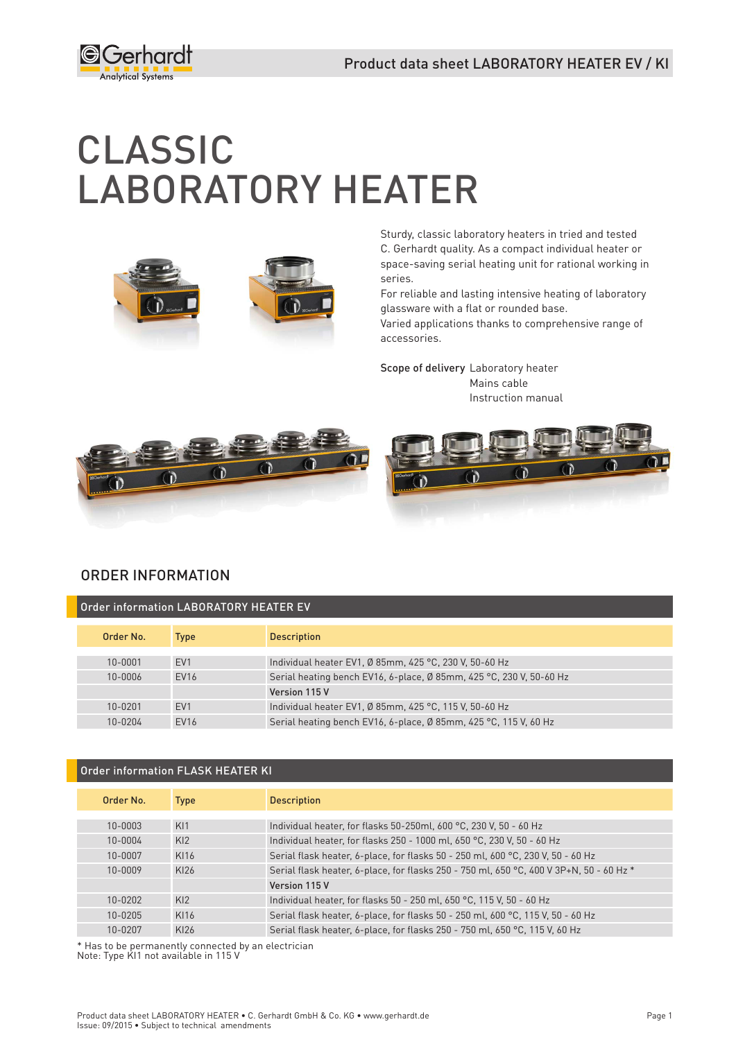

# CLASSIC LABORATORY HEATER





Sturdy, classic laboratory heaters in tried and tested C. Gerhardt quality. As a compact individual heater or space-saving serial heating unit for rational working in series.

For reliable and lasting intensive heating of laboratory glassware with a flat or rounded base.

Varied applications thanks to comprehensive range of accessories.

Scope of delivery Laboratory heater Mains cable Instruction manual





## ORDER INFORMATION

#### Order information LABORATORY HEATER EV

| Order No.   | Type            | <b>Description</b>                                                  |
|-------------|-----------------|---------------------------------------------------------------------|
|             |                 |                                                                     |
| 10-0001     | EV <sub>1</sub> | Individual heater EV1, Ø 85mm, 425 °C, 230 V, 50-60 Hz              |
| 10-0006     | <b>FV16</b>     | Serial heating bench EV16, 6-place, Ø 85mm, 425 °C, 230 V, 50-60 Hz |
|             |                 | Version 115 V                                                       |
| $10 - 0201$ | EV <sub>1</sub> | Individual heater EV1, Ø 85mm, 425 °C, 115 V, 50-60 Hz              |
| 10-0204     | EV16            | Serial heating bench EV16, 6-place, Ø 85mm, 425 °C, 115 V, 60 Hz    |

#### Order information FLASK HEATER KI

| Order No.   | Type            | <b>Description</b>                                                                      |
|-------------|-----------------|-----------------------------------------------------------------------------------------|
|             |                 |                                                                                         |
| $10 - 0003$ | K <sub>1</sub>  | Individual heater, for flasks 50-250ml, 600 °C, 230 V, 50 - 60 Hz                       |
| 10-0004     | K <sub>12</sub> | Individual heater, for flasks 250 - 1000 ml, 650 °C, 230 V, 50 - 60 Hz                  |
| 10-0007     | KI16            | Serial flask heater, 6-place, for flasks 50 - 250 ml, 600 °C, 230 V, 50 - 60 Hz         |
| 10-0009     | KI26            | Serial flask heater, 6-place, for flasks 250 - 750 ml, 650 °C, 400 V 3P+N, 50 - 60 Hz * |
|             |                 | Version 115 V                                                                           |
| $10 - 0202$ | K <sub>12</sub> | Individual heater, for flasks 50 - 250 ml, 650 °C, 115 V, 50 - 60 Hz                    |
| $10 - 0205$ | KI16            | Serial flask heater, 6-place, for flasks 50 - 250 ml, 600 °C, 115 V, 50 - 60 Hz         |
| 10-0207     | KI26            | Serial flask heater, 6-place, for flasks 250 - 750 ml, 650 °C, 115 V, 60 Hz             |

\* Has to be permanently connected by an electrician

Note: Type KI1 not available in 115 V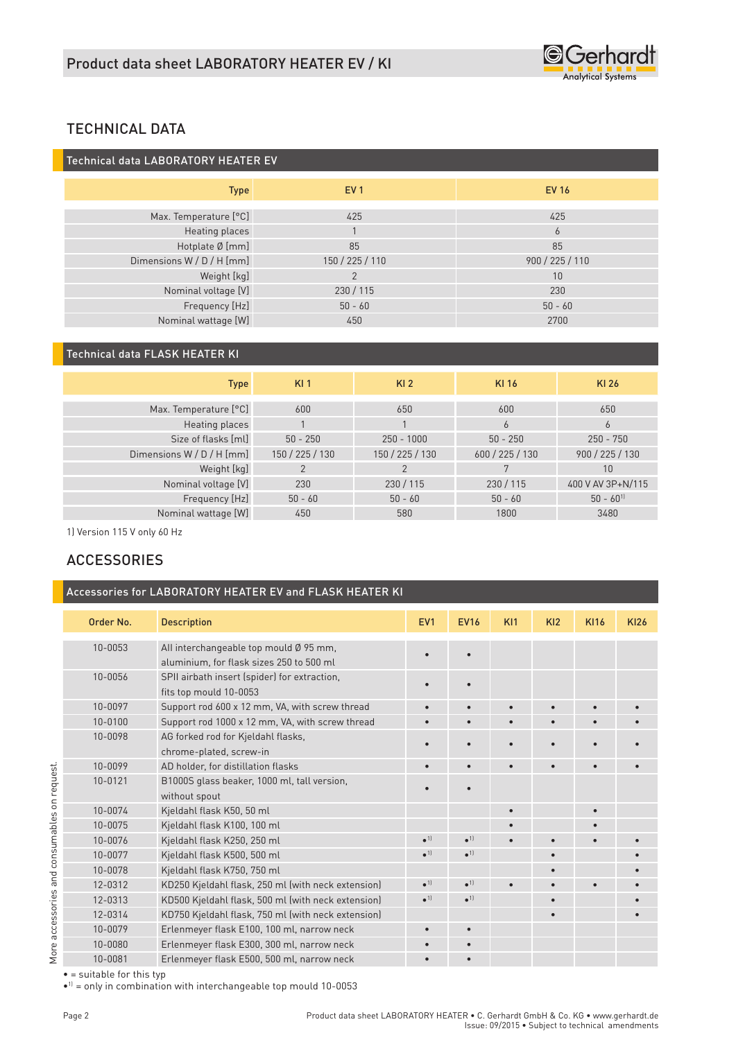

## TECHNICAL DATA

| Technical data LABORATORY HEATER EV |                 |                 |  |  |
|-------------------------------------|-----------------|-----------------|--|--|
| <b>Type</b>                         | EV <sub>1</sub> | <b>EV 16</b>    |  |  |
| Max. Temperature [°C]               | 425             | 425             |  |  |
| Heating places                      |                 | 6               |  |  |
| Hotplate Ø [mm]                     | 85              | 85              |  |  |
| Dimensions W / D / H [mm]           | 150 / 225 / 110 | 900 / 225 / 110 |  |  |
| Weight [kg]                         | $\overline{2}$  | 10              |  |  |
| Nominal voltage [V]                 | 230/115         | 230             |  |  |
| Frequency [Hz]                      | $50 - 60$       | $50 - 60$       |  |  |
| Nominal wattage [W]                 | 450             | 2700            |  |  |

#### Technical data FLASK HEATER KI

| <b>Type</b>               | K11             | K12             | KI 16           | KI 26                   |
|---------------------------|-----------------|-----------------|-----------------|-------------------------|
|                           |                 |                 |                 |                         |
| Max. Temperature [°C]     | 600             | 650             | 600             | 650                     |
| Heating places            |                 |                 | 6               | 6                       |
| Size of flasks [ml]       | $50 - 250$      | $250 - 1000$    | $50 - 250$      | $250 - 750$             |
| Dimensions W / D / H [mm] | 150 / 225 / 130 | 150 / 225 / 130 | 600 / 225 / 130 | 900 / 225 / 130         |
| Weight [kg]               | $\overline{2}$  |                 |                 | 10                      |
| Nominal voltage [V]       | 230             | 230/115         | 230/115         | 400 V AV 3P+N/115       |
| Frequency [Hz]            | $50 - 60$       | $50 - 60$       | $50 - 60$       | $50 - 60$ <sup>11</sup> |
| Nominal wattage [W]       | 450             | 580             | 1800            | 3480                    |

1) Version 115 V only 60 Hz

## ACCESSORIES

| Accessories for LABORATORY HEATER EV and FLASK HEATER KI |                                                                                    |                         |                         |                |           |           |             |
|----------------------------------------------------------|------------------------------------------------------------------------------------|-------------------------|-------------------------|----------------|-----------|-----------|-------------|
| Order No.                                                | <b>Description</b>                                                                 | EV <sub>1</sub>         | <b>EV16</b>             | K <sub>1</sub> | K12       | KI16      | <b>KI26</b> |
| 10-0053                                                  | All interchangeable top mould Ø 95 mm,<br>aluminium, for flask sizes 250 to 500 ml |                         |                         |                |           |           |             |
| 10-0056                                                  | SPII airbath insert (spider) for extraction,<br>fits top mould 10-0053             |                         | $\bullet$               |                |           |           |             |
| 10-0097                                                  | Support rod 600 x 12 mm, VA, with screw thread                                     |                         |                         | $\bullet$      |           |           |             |
| 10-0100                                                  | Support rod 1000 x 12 mm, VA, with screw thread                                    |                         | $\bullet$               | $\bullet$      | $\bullet$ | $\bullet$ |             |
| 10-0098                                                  | AG forked rod for Kjeldahl flasks,<br>chrome-plated, screw-in                      |                         |                         |                |           |           |             |
| 10-0099                                                  | AD holder, for distillation flasks                                                 | $\bullet$               | $\bullet$               | $\bullet$      | $\bullet$ |           |             |
| 10-0121                                                  | B1000S glass beaker, 1000 ml, tall version,<br>without spout                       |                         |                         |                |           |           |             |
| 10-0074                                                  | Kjeldahl flask K50, 50 ml                                                          |                         |                         | $\bullet$      |           | $\bullet$ |             |
| 10-0075                                                  | Kjeldahl flask K100, 100 ml                                                        |                         |                         |                |           |           |             |
| 10-0076                                                  | Kjeldahl flask K250, 250 ml                                                        | $\bullet$ <sup>1)</sup> | $\bullet$ <sup>1)</sup> | $\bullet$      |           |           |             |
| 10-0077                                                  | Kjeldahl flask K500, 500 ml                                                        | $\bullet$ <sup>1]</sup> | $\bullet$ <sup>1)</sup> |                | $\bullet$ |           |             |
| 10-0078                                                  | Kjeldahl flask K750, 750 ml                                                        |                         |                         |                | ٠         |           |             |
| 12-0312                                                  | KD250 Kjeldahl flask, 250 ml (with neck extension)                                 | $\bullet$ <sup>1]</sup> | $\bullet$ <sup>1)</sup> | $\bullet$      | $\bullet$ |           |             |
| 12-0313                                                  | KD500 Kjeldahl flask, 500 ml (with neck extension)                                 | $\bullet$ <sup>1]</sup> | $\bullet$ <sup>1)</sup> |                | $\bullet$ |           |             |
| 12-0314                                                  | KD750 Kjeldahl flask, 750 ml (with neck extension)                                 |                         |                         |                | $\bullet$ |           |             |
| 10-0079                                                  | Erlenmeyer flask E100, 100 ml, narrow neck                                         |                         | $\bullet$               |                |           |           |             |
| 10-0080                                                  | Erlenmeyer flask E300, 300 ml, narrow neck                                         |                         | $\bullet$               |                |           |           |             |
| 10-0081                                                  | Erlenmeyer flask E500, 500 ml, narrow neck                                         |                         |                         |                |           |           |             |

∙ = suitable for this typ

∙1) = only in combination with interchangeable top mould 10-0053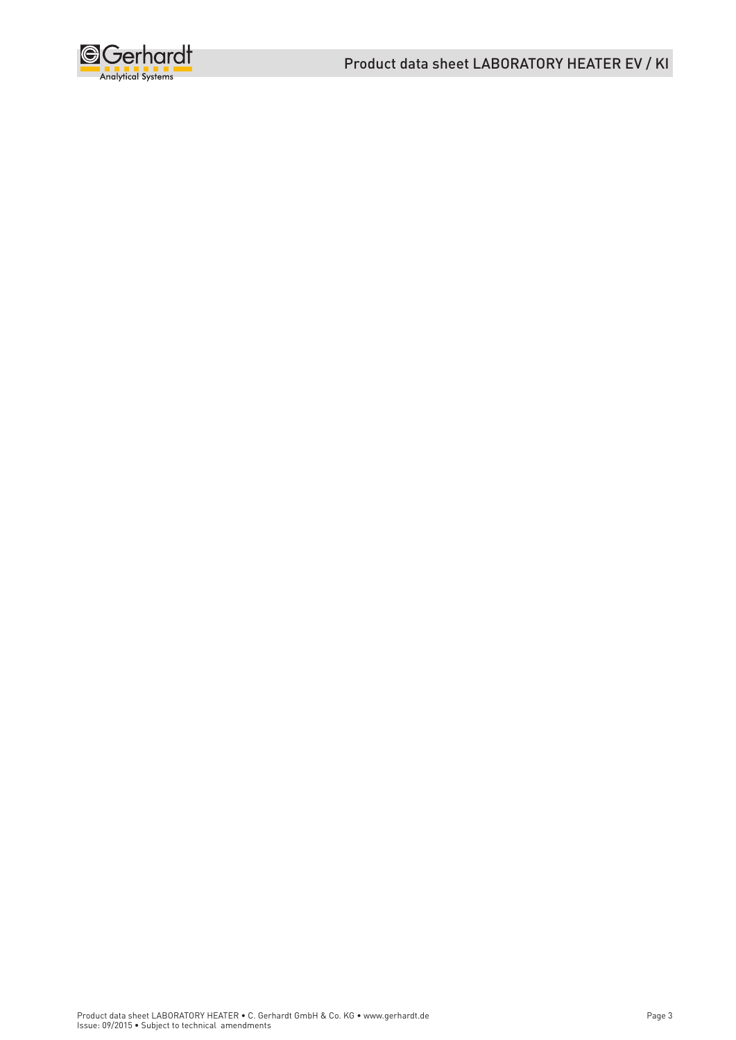